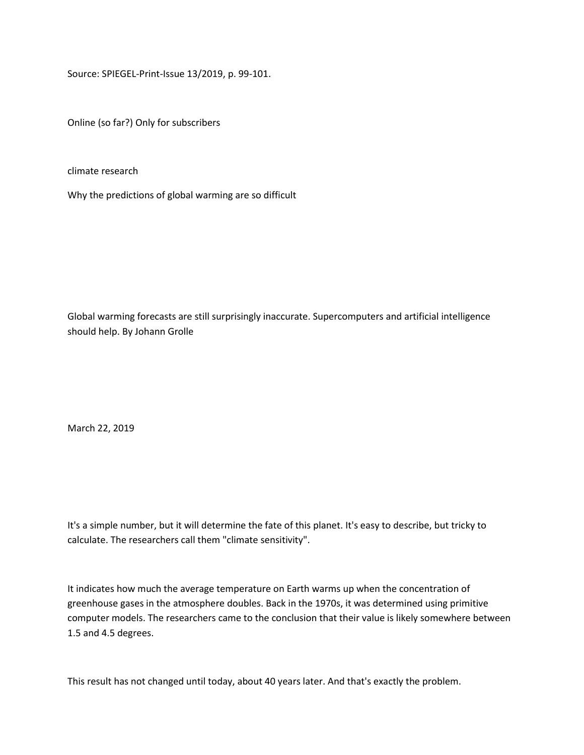Source: SPIEGEL-Print-Issue 13/2019, p. 99-101.

Online (so far?) Only for subscribers

climate research

Why the predictions of global warming are so difficult

Global warming forecasts are still surprisingly inaccurate. Supercomputers and artificial intelligence should help. By Johann Grolle

March 22, 2019

It's a simple number, but it will determine the fate of this planet. It's easy to describe, but tricky to calculate. The researchers call them "climate sensitivity".

It indicates how much the average temperature on Earth warms up when the concentration of greenhouse gases in the atmosphere doubles. Back in the 1970s, it was determined using primitive computer models. The researchers came to the conclusion that their value is likely somewhere between 1.5 and 4.5 degrees.

This result has not changed until today, about 40 years later. And that's exactly the problem.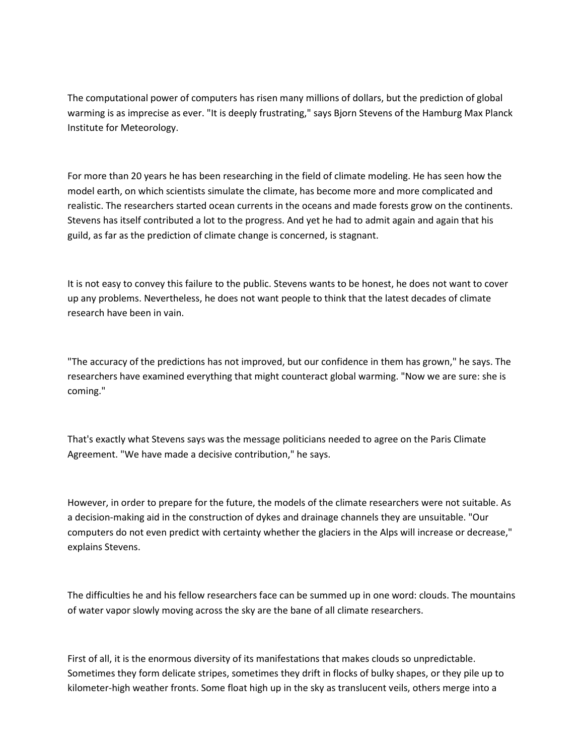The computational power of computers has risen many millions of dollars, but the prediction of global warming is as imprecise as ever. "It is deeply frustrating," says Bjorn Stevens of the Hamburg Max Planck Institute for Meteorology.

For more than 20 years he has been researching in the field of climate modeling. He has seen how the model earth, on which scientists simulate the climate, has become more and more complicated and realistic. The researchers started ocean currents in the oceans and made forests grow on the continents. Stevens has itself contributed a lot to the progress. And yet he had to admit again and again that his guild, as far as the prediction of climate change is concerned, is stagnant.

It is not easy to convey this failure to the public. Stevens wants to be honest, he does not want to cover up any problems. Nevertheless, he does not want people to think that the latest decades of climate research have been in vain.

"The accuracy of the predictions has not improved, but our confidence in them has grown," he says. The researchers have examined everything that might counteract global warming. "Now we are sure: she is coming."

That's exactly what Stevens says was the message politicians needed to agree on the Paris Climate Agreement. "We have made a decisive contribution," he says.

However, in order to prepare for the future, the models of the climate researchers were not suitable. As a decision-making aid in the construction of dykes and drainage channels they are unsuitable. "Our computers do not even predict with certainty whether the glaciers in the Alps will increase or decrease," explains Stevens.

The difficulties he and his fellow researchers face can be summed up in one word: clouds. The mountains of water vapor slowly moving across the sky are the bane of all climate researchers.

First of all, it is the enormous diversity of its manifestations that makes clouds so unpredictable. Sometimes they form delicate stripes, sometimes they drift in flocks of bulky shapes, or they pile up to kilometer-high weather fronts. Some float high up in the sky as translucent veils, others merge into a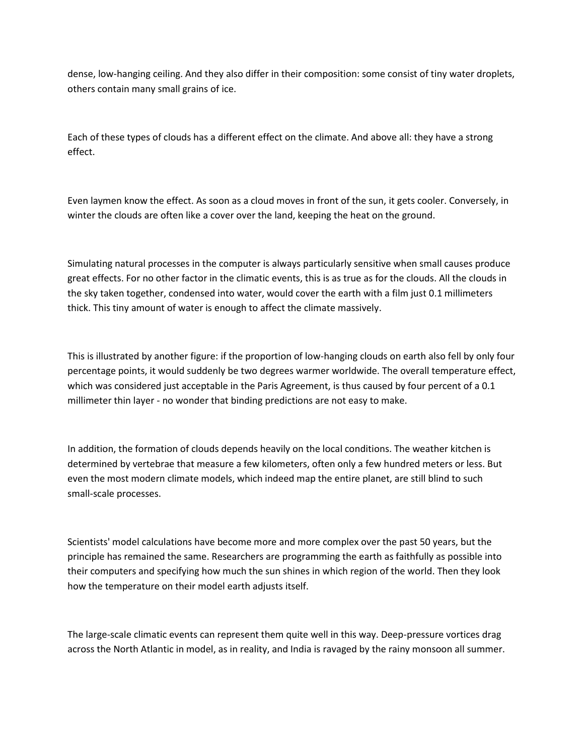dense, low-hanging ceiling. And they also differ in their composition: some consist of tiny water droplets, others contain many small grains of ice.

Each of these types of clouds has a different effect on the climate. And above all: they have a strong effect.

Even laymen know the effect. As soon as a cloud moves in front of the sun, it gets cooler. Conversely, in winter the clouds are often like a cover over the land, keeping the heat on the ground.

Simulating natural processes in the computer is always particularly sensitive when small causes produce great effects. For no other factor in the climatic events, this is as true as for the clouds. All the clouds in the sky taken together, condensed into water, would cover the earth with a film just 0.1 millimeters thick. This tiny amount of water is enough to affect the climate massively.

This is illustrated by another figure: if the proportion of low-hanging clouds on earth also fell by only four percentage points, it would suddenly be two degrees warmer worldwide. The overall temperature effect, which was considered just acceptable in the Paris Agreement, is thus caused by four percent of a 0.1 millimeter thin layer - no wonder that binding predictions are not easy to make.

In addition, the formation of clouds depends heavily on the local conditions. The weather kitchen is determined by vertebrae that measure a few kilometers, often only a few hundred meters or less. But even the most modern climate models, which indeed map the entire planet, are still blind to such small-scale processes.

Scientists' model calculations have become more and more complex over the past 50 years, but the principle has remained the same. Researchers are programming the earth as faithfully as possible into their computers and specifying how much the sun shines in which region of the world. Then they look how the temperature on their model earth adjusts itself.

The large-scale climatic events can represent them quite well in this way. Deep-pressure vortices drag across the North Atlantic in model, as in reality, and India is ravaged by the rainy monsoon all summer.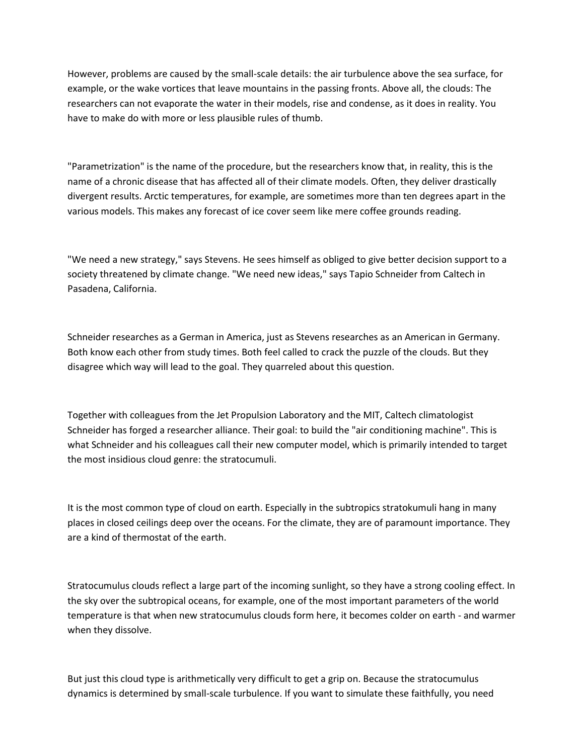However, problems are caused by the small-scale details: the air turbulence above the sea surface, for example, or the wake vortices that leave mountains in the passing fronts. Above all, the clouds: The researchers can not evaporate the water in their models, rise and condense, as it does in reality. You have to make do with more or less plausible rules of thumb.

"Parametrization" is the name of the procedure, but the researchers know that, in reality, this is the name of a chronic disease that has affected all of their climate models. Often, they deliver drastically divergent results. Arctic temperatures, for example, are sometimes more than ten degrees apart in the various models. This makes any forecast of ice cover seem like mere coffee grounds reading.

"We need a new strategy," says Stevens. He sees himself as obliged to give better decision support to a society threatened by climate change. "We need new ideas," says Tapio Schneider from Caltech in Pasadena, California.

Schneider researches as a German in America, just as Stevens researches as an American in Germany. Both know each other from study times. Both feel called to crack the puzzle of the clouds. But they disagree which way will lead to the goal. They quarreled about this question.

Together with colleagues from the Jet Propulsion Laboratory and the MIT, Caltech climatologist Schneider has forged a researcher alliance. Their goal: to build the "air conditioning machine". This is what Schneider and his colleagues call their new computer model, which is primarily intended to target the most insidious cloud genre: the stratocumuli.

It is the most common type of cloud on earth. Especially in the subtropics stratokumuli hang in many places in closed ceilings deep over the oceans. For the climate, they are of paramount importance. They are a kind of thermostat of the earth.

Stratocumulus clouds reflect a large part of the incoming sunlight, so they have a strong cooling effect. In the sky over the subtropical oceans, for example, one of the most important parameters of the world temperature is that when new stratocumulus clouds form here, it becomes colder on earth - and warmer when they dissolve.

But just this cloud type is arithmetically very difficult to get a grip on. Because the stratocumulus dynamics is determined by small-scale turbulence. If you want to simulate these faithfully, you need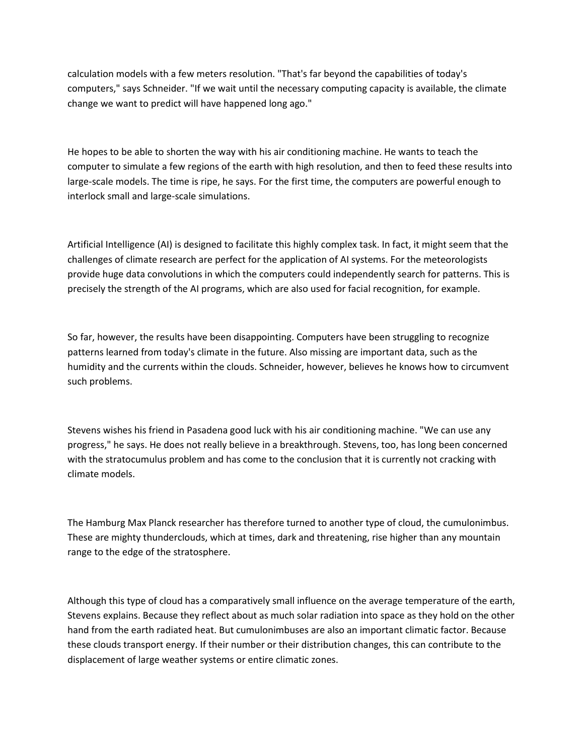calculation models with a few meters resolution. "That's far beyond the capabilities of today's computers," says Schneider. "If we wait until the necessary computing capacity is available, the climate change we want to predict will have happened long ago."

He hopes to be able to shorten the way with his air conditioning machine. He wants to teach the computer to simulate a few regions of the earth with high resolution, and then to feed these results into large-scale models. The time is ripe, he says. For the first time, the computers are powerful enough to interlock small and large-scale simulations.

Artificial Intelligence (AI) is designed to facilitate this highly complex task. In fact, it might seem that the challenges of climate research are perfect for the application of AI systems. For the meteorologists provide huge data convolutions in which the computers could independently search for patterns. This is precisely the strength of the AI programs, which are also used for facial recognition, for example.

So far, however, the results have been disappointing. Computers have been struggling to recognize patterns learned from today's climate in the future. Also missing are important data, such as the humidity and the currents within the clouds. Schneider, however, believes he knows how to circumvent such problems.

Stevens wishes his friend in Pasadena good luck with his air conditioning machine. "We can use any progress," he says. He does not really believe in a breakthrough. Stevens, too, has long been concerned with the stratocumulus problem and has come to the conclusion that it is currently not cracking with climate models.

The Hamburg Max Planck researcher has therefore turned to another type of cloud, the cumulonimbus. These are mighty thunderclouds, which at times, dark and threatening, rise higher than any mountain range to the edge of the stratosphere.

Although this type of cloud has a comparatively small influence on the average temperature of the earth, Stevens explains. Because they reflect about as much solar radiation into space as they hold on the other hand from the earth radiated heat. But cumulonimbuses are also an important climatic factor. Because these clouds transport energy. If their number or their distribution changes, this can contribute to the displacement of large weather systems or entire climatic zones.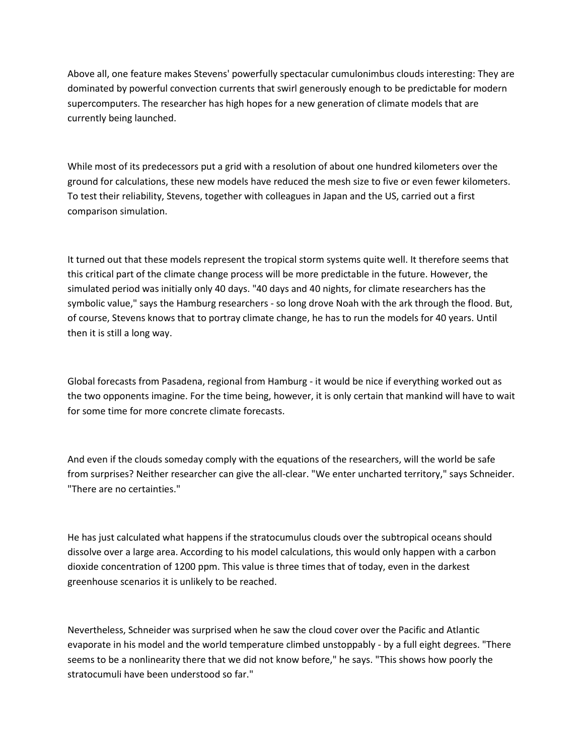Above all, one feature makes Stevens' powerfully spectacular cumulonimbus clouds interesting: They are dominated by powerful convection currents that swirl generously enough to be predictable for modern supercomputers. The researcher has high hopes for a new generation of climate models that are currently being launched.

While most of its predecessors put a grid with a resolution of about one hundred kilometers over the ground for calculations, these new models have reduced the mesh size to five or even fewer kilometers. To test their reliability, Stevens, together with colleagues in Japan and the US, carried out a first comparison simulation.

It turned out that these models represent the tropical storm systems quite well. It therefore seems that this critical part of the climate change process will be more predictable in the future. However, the simulated period was initially only 40 days. "40 days and 40 nights, for climate researchers has the symbolic value," says the Hamburg researchers - so long drove Noah with the ark through the flood. But, of course, Stevens knows that to portray climate change, he has to run the models for 40 years. Until then it is still a long way.

Global forecasts from Pasadena, regional from Hamburg - it would be nice if everything worked out as the two opponents imagine. For the time being, however, it is only certain that mankind will have to wait for some time for more concrete climate forecasts.

And even if the clouds someday comply with the equations of the researchers, will the world be safe from surprises? Neither researcher can give the all-clear. "We enter uncharted territory," says Schneider. "There are no certainties."

He has just calculated what happens if the stratocumulus clouds over the subtropical oceans should dissolve over a large area. According to his model calculations, this would only happen with a carbon dioxide concentration of 1200 ppm. This value is three times that of today, even in the darkest greenhouse scenarios it is unlikely to be reached.

Nevertheless, Schneider was surprised when he saw the cloud cover over the Pacific and Atlantic evaporate in his model and the world temperature climbed unstoppably - by a full eight degrees. "There seems to be a nonlinearity there that we did not know before," he says. "This shows how poorly the stratocumuli have been understood so far."